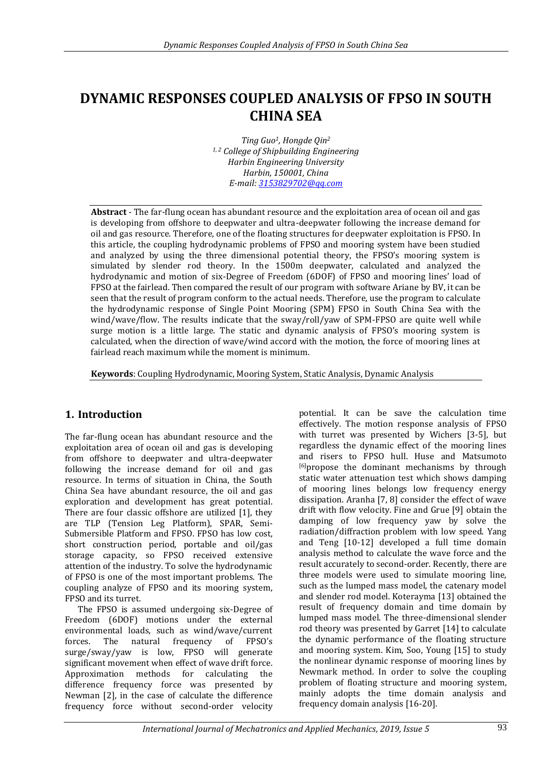# **DYNAMIC RESPONSES COUPLED ANALYSIS OF FPSO IN SOUTH CHINA SEA**

*Ting Guo1, Hongde Qin<sup>2</sup> 1, 2 College of Shipbuilding Engineering Harbin Engineering University Harbin, 150001, China E-mail[: 3153829702@qq.com](mailto:3153829702@qq.com)*

**Abstract** - The far-flung ocean has abundant resource and the exploitation area of ocean oil and gas is developing from offshore to deepwater and ultra-deepwater following the increase demand for oil and gas resource. Therefore, one of the floating structures for deepwater exploitation is FPSO. In this article, the coupling hydrodynamic problems of FPSO and mooring system have been studied and analyzed by using the three dimensional potential theory, the FPSO's mooring system is simulated by slender rod theory. In the 1500m deepwater, calculated and analyzed the hydrodynamic and motion of six-Degree of Freedom (6DOF) of FPSO and mooring lines' load of FPSO at the fairlead. Then compared the result of our program with software Ariane by BV, it can be seen that the result of program conform to the actual needs. Therefore, use the program to calculate the hydrodynamic response of Single Point Mooring (SPM) FPSO in South China Sea with the wind/wave/flow. The results indicate that the sway/roll/yaw of SPM-FPSO are quite well while surge motion is a little large. The static and dynamic analysis of FPSO's mooring system is calculated, when the direction of wave/wind accord with the motion, the force of mooring lines at fairlead reach maximum while the moment is minimum.

**Keywords**: Coupling Hydrodynamic, Mooring System, Static Analysis, Dynamic Analysis

# **1. Introduction**

The far-flung ocean has abundant resource and the exploitation area of ocean oil and gas is developing from offshore to deepwater and ultra-deepwater following the increase demand for oil and gas resource. In terms of situation in China, the South China Sea have abundant resource, the oil and gas exploration and development has great potential. There are four classic offshore are utilized [1], they are TLP (Tension Leg Platform), SPAR, Semi-Submersible Platform and FPSO. FPSO has low cost, short construction period, portable and oil/gas storage capacity, so FPSO received extensive attention of the industry. To solve the hydrodynamic of FPSO is one of the most important problems. The coupling analyze of FPSO and its mooring system, FPSO and its turret.

The FPSO is assumed undergoing six-Degree of Freedom (6DOF) motions under the external environmental loads, such as wind/wave/current forces. The natural frequency of FPSO's surge/sway/yaw is low, FPSO will generate significant movement when effect of wave drift force. Approximation methods for calculating the difference frequency force was presented by Newman [2], in the case of calculate the difference frequency force without second-order velocity

potential. It can be save the calculation time effectively. The motion response analysis of FPSO with turret was presented by Wichers [3-5], but regardless the dynamic effect of the mooring lines and risers to FPSO hull. Huse and Matsumoto [6]propose the dominant mechanisms by through static water attenuation test which shows damping of mooring lines belongs low frequency energy dissipation. Aranha [7, 8] consider the effect of wave drift with flow velocity. Fine and Grue [9] obtain the damping of low frequency yaw by solve the radiation/diffraction problem with low speed. Yang and Teng [10-12] developed a full time domain analysis method to calculate the wave force and the result accurately to second-order. Recently, there are three models were used to simulate mooring line, such as the lumped mass model, the catenary model and slender rod model. Koterayma [13] obtained the result of frequency domain and time domain by lumped mass model. The three-dimensional slender rod theory was presented by Garret [14] to calculate the dynamic performance of the floating structure and mooring system. Kim, Soo, Young [15] to study the nonlinear dynamic response of mooring lines by Newmark method. In order to solve the coupling problem of floating structure and mooring system, mainly adopts the time domain analysis and frequency domain analysis [16-20].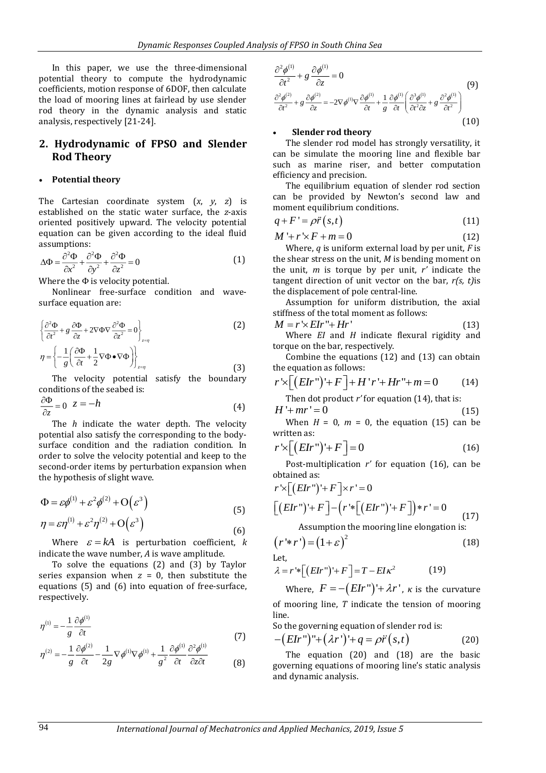In this paper, we use the three-dimensional potential theory to compute the hydrodynamic coefficients, motion response of 6DOF, then calculate the load of mooring lines at fairlead by use slender rod theory in the dynamic analysis and static analysis, respectively [21-24].

# **2. Hydrodynamic of FPSO and Slender Rod Theory**

### **Potential theory**

The Cartesian coordinate system (*x*, *y*, *z*) is established on the static water surface, the *z*-axis oriented positively upward. The velocity potential equation can be given according to the ideal fluid assumptions:

$$
\Delta \Phi = \frac{\partial^2 \Phi}{\partial x^2} + \frac{\partial^2 \Phi}{\partial y^2} + \frac{\partial^2 \Phi}{\partial z^2} = 0
$$
 (1)

Where the  $\Phi$  is velocity potential.

Nonlinear free-surface condition and wavesurface equation are:

$$
\left\{\frac{\partial^2 \Phi}{\partial t^2} + g \frac{\partial \Phi}{\partial z} + 2\nabla \Phi \nabla \frac{\partial^2 \Phi}{\partial z^2} = 0\right\}_{z=\eta}
$$
\n
$$
\eta = \left\{-\frac{1}{g} \left(\frac{\partial \Phi}{\partial t} + \frac{1}{2} \nabla \Phi \bullet \nabla \Phi\right)\right\}_{z=\eta}
$$
\n(2)

The velocity potential satisfy the boundary conditions of the seabed is:

$$
\frac{\partial \Phi}{\partial z} = 0 \quad z = -h \tag{4}
$$

The *h* indicate the water depth. The velocity potential also satisfy the corresponding to the bodysurface condition and the radiation condition. In order to solve the velocity potential and keep to the second-order items by perturbation expansion when the hypothesis of slight wave.

$$
\Phi = \varepsilon \phi^{(1)} + \varepsilon^2 \phi^{(2)} + O(\varepsilon^3)
$$
\n(5)

$$
\eta = \varepsilon \eta^{(1)} + \varepsilon^2 \eta^{(2)} + O(\varepsilon^3)
$$
  
Where  $\varepsilon = kA$  is perturbation coefficient

Where  $\varepsilon = kA$  is perturbation coefficient, *k* indicate the wave number, *A* is wave amplitude.

To solve the equations (2) and (3) by Taylor series expansion when  $z = 0$ , then substitute the equations (5) and (6) into equation of free-surface, respectively.

$$
\eta^{(1)} = -\frac{1}{g} \frac{\partial \phi^{(1)}}{\partial t}
$$
\n
$$
\eta^{(2)} = -\frac{1}{g} \frac{\partial \phi^{(2)}}{\partial t} - \frac{1}{2g} \nabla \phi^{(1)} \nabla \phi^{(1)} + \frac{1}{g^2} \frac{\partial \phi^{(1)}}{\partial t} \frac{\partial^2 \phi^{(1)}}{\partial z \partial t}
$$
\n(7)

$$
\frac{\partial^2 \phi^{(1)}}{\partial t^2} + g \frac{\partial \phi^{(1)}}{\partial z} = 0
$$
(9)  

$$
\frac{\partial^2 \phi^{(2)}}{\partial t^2} + g \frac{\partial \phi^{(2)}}{\partial z} = -2\nabla \phi^{(1)} \nabla \frac{\partial \phi^{(1)}}{\partial t} + \frac{1}{g} \frac{\partial \phi^{(1)}}{\partial t} \left( \frac{\partial^3 \phi^{(1)}}{\partial t^2 \partial z} + g \frac{\partial^2 \phi^{(1)}}{\partial t^2} \right)
$$
(10)

#### **Slender rod theory**

The slender rod model has strongly versatility, it can be simulate the mooring line and flexible bar such as marine riser, and better computation efficiency and precision.

The equilibrium equation of slender rod section can be provided by Newton's second law and moment equilibrium conditions.

$$
q + F' = \rho \ddot{r}(s, t) \tag{11}
$$

$$
M' + r' \times F + m = 0 \tag{12}
$$

Where, *q* is uniform external load by per unit, *F* is the shear stress on the unit, *M* is bending moment on the unit, *m* is torque by per unit, *r'* indicate the tangent direction of unit vector on the bar, *r(s, t)*is the displacement of pole central-line.

Assumption for uniform distribution, the axial stiffness of the total moment as follows:

$$
M = r' \times EIr'' + Hr'
$$
 (13)

Where *EI* and *H* indicate flexural rigidity and torque on the bar, respectively.

Combine the equations (12) and (13) can obtain the equation as follows:

$$
r \times \left[ \left( Elr'' \right) + F \right] + H'r' + Hr'' + m = 0 \tag{14}
$$

Then dot product *r'* for equation (14), that is:

 $H' + mr' = 0$  $(15)$ When  $H = 0$ ,  $m = 0$ , the equation (15) can be written as:

$$
r' \times \left[ \left( Elr'' \right) + F \right] = 0 \tag{16}
$$

Post-multiplication *r'* for equation (16), can be obtained as:

$$
r \times \left[ \left( EIr^{\prime\prime} \right)^{\prime} + F \right] \times r^{\prime} = 0
$$
  
\n
$$
\left[ \left( EIr^{\prime\prime} \right)^{\prime} + F \right] - \left( r^{\prime} \times \left[ \left( EIr^{\prime\prime} \right)^{\prime} + F \right] \right) \times r^{\prime} = 0
$$
 (17)  
\nAssumption the meaning line observation is:

Assumption the mooring line elongation is:  $(r' * r') = (1 + \varepsilon)^2$ (18)

 $Let$ 

$$
\lambda = r^* \left[ \left( EIr^{\prime\prime} \right)^2 + F \right] = T - EI\kappa^2 \tag{19}
$$

Where,  $F = -(EIr'')' + \lambda r'$ ,  $\kappa$  is the curvature of mooring line, *T* indicate the tension of mooring line.

So the governing equation of slender rod is:

$$
-(EIrn)''+(\lambda rn)'+q = \rho \ddot{r}(s,t)
$$
 (20)

The equation (20) and (18) are the basic governing equations of mooring line's static analysis and dynamic analysis.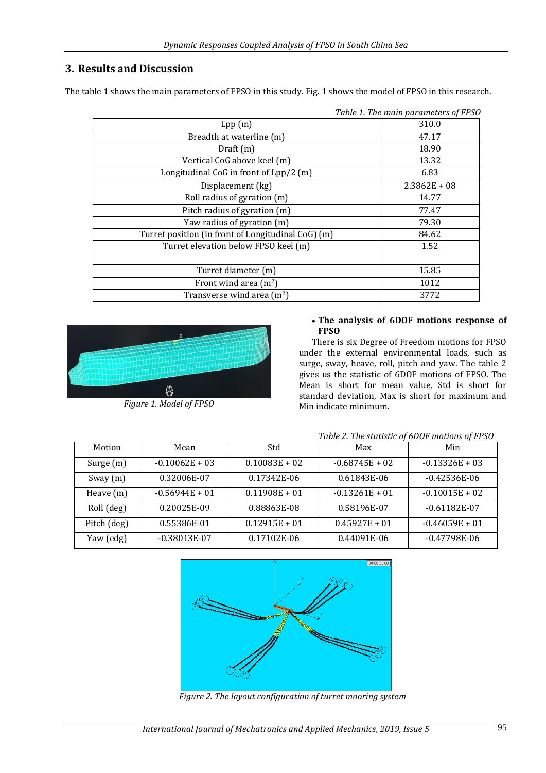# **3. Results and Discussion**

The table 1 shows the main parameters of FPSO in this study. Fig. 1 shows the model of FPSO in this research.

|                                                    | Table 1. The main parameters of FPSO |
|----------------------------------------------------|--------------------------------------|
| Lpp(m)                                             | 310.0                                |
| Breadth at waterline (m)                           | 47.17                                |
| Draff(m)                                           | 18.90                                |
| Vertical CoG above keel (m)                        | 13.32                                |
| Longitudinal CoG in front of Lpp/2 (m)             | 6.83                                 |
| Displacement (kg)                                  | $2.3862E + 08$                       |
| Roll radius of gyration (m)                        | 14.77                                |
| Pitch radius of gyration (m)                       | 77.47                                |
| Yaw radius of gyration (m)                         | 79.30                                |
| Turret position (in front of Longitudinal CoG) (m) | 84.62                                |
| Turret elevation below FPSO keel (m)               | 1.52                                 |
|                                                    |                                      |
| Turret diameter (m)                                | 15.85                                |
| Front wind area $(m^2)$                            | 1012                                 |
| Transverse wind area $(m2)$                        | 3772                                 |



*Figure 1. Model of FPSO*

#### **The analysis of 6DOF motions response of FPSO**

There is six Degree of Freedom motions for FPSO under the external environmental loads, such as surge, sway, heave, roll, pitch and yaw. The table 2 gives us the statistic of 6DOF motions of FPSO. The Mean is short for mean value, Std is short for standard deviation, Max is short for maximum and Min indicate minimum.

|             |                  |                 | Tuble 2. The statistic of objet inotions of 1150 |                  |
|-------------|------------------|-----------------|--------------------------------------------------|------------------|
| Motion      | Mean             | Std             | Max                                              | Min              |
| Surge $(m)$ | $-0.10062E + 03$ | $0.10083E + 02$ | $-0.68745E + 02$                                 | $-0.13326E + 03$ |
| Sway $(m)$  | 0.32006E-07      | 0.17342E-06     | 0.61843E-06                                      | $-0.42536E-06$   |
| Heave $(m)$ | $-0.56944E + 01$ | $0.11908E + 01$ | $-0.13261E + 01$                                 | $-0.10015E + 02$ |
| Roll (deg)  | 0.20025E-09      | 0.88863E-08     | 0.58196E-07                                      | $-0.61182E-07$   |
| Pitch (deg) | 0.55386E-01      | $0.12915E + 01$ | $0.45927E + 01$                                  | $-0.46059E + 01$ |
| Yaw (edg)   | $-0.38013E-07$   | 0.17102E-06     | 0.44091E-06                                      | $-0.47798E-06$   |

## *Table 2. The statistic of 6DOF motions of FPSO*



*Figure 2. The layout configuration of turret mooring system*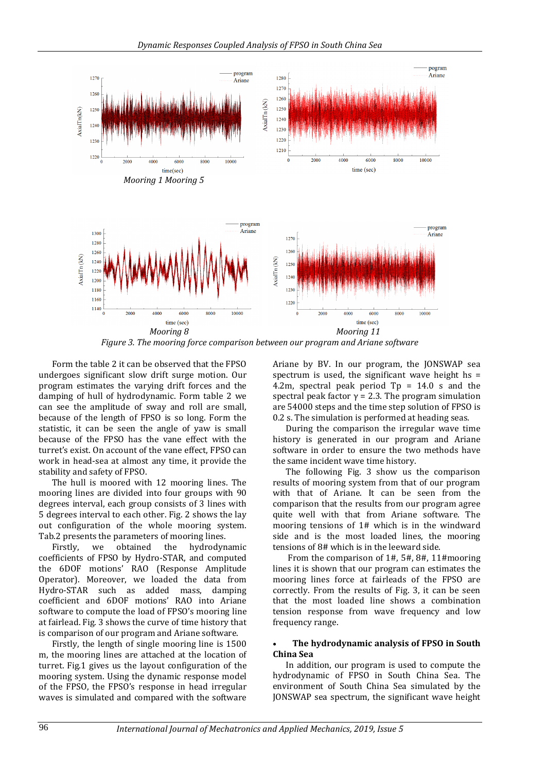

*Figure 3. The mooring force comparison between our program and Ariane software*

Form the table 2 it can be observed that the FPSO undergoes significant slow drift surge motion. Our program estimates the varying drift forces and the damping of hull of hydrodynamic. Form table 2 we can see the amplitude of sway and roll are small, because of the length of FPSO is so long. Form the statistic, it can be seen the angle of yaw is small because of the FPSO has the vane effect with the turret's exist. On account of the vane effect, FPSO can work in head-sea at almost any time, it provide the stability and safety of FPSO.

The hull is moored with 12 mooring lines. The mooring lines are divided into four groups with 90 degrees interval, each group consists of 3 lines with 5 degrees interval to each other. Fig. 2 shows the lay out configuration of the whole mooring system. Tab.2 presents the parameters of mooring lines.

Firstly, we obtained the hydrodynamic coefficients of FPSO by Hydro-STAR, and computed the 6DOF motions' RAO (Response Amplitude Operator). Moreover, we loaded the data from Hydro-STAR such as added mass, damping coefficient and 6DOF motions' RAO into Ariane software to compute the load of FPSO's mooring line at fairlead. Fig. 3 shows the curve of time history that is comparison of our program and Ariane software.

Firstly, the length of single mooring line is 1500 m, the mooring lines are attached at the location of turret. Fig.1 gives us the layout configuration of the mooring system. Using the dynamic response model of the FPSO, the FPSO's response in head irregular waves is simulated and compared with the software

Ariane by BV. In our program, the JONSWAP sea spectrum is used, the significant wave height  $hs =$ 4.2m, spectral peak period  $Tp = 14.0$  s and the spectral peak factor  $\gamma$  = 2.3. The program simulation are 54000 steps and the time step solution of FPSO is 0.2 s. The simulation is performed at heading seas.

During the comparison the irregular wave time history is generated in our program and Ariane software in order to ensure the two methods have the same incident wave time history.

The following Fig. 3 show us the comparison results of mooring system from that of our program with that of Ariane. It can be seen from the comparison that the results from our program agree quite well with that from Ariane software. The mooring tensions of 1# which is in the windward side and is the most loaded lines, the mooring tensions of 8# which is in the leeward side.

From the comparison of 1#, 5#, 8#, 11#mooring lines it is shown that our program can estimates the mooring lines force at fairleads of the FPSO are correctly. From the results of Fig. 3, it can be seen that the most loaded line shows a combination tension response from wave frequency and low frequency range.

#### **The hydrodynamic analysis of FPSO in South China Sea**

In addition, our program is used to compute the hydrodynamic of FPSO in South China Sea. The environment of South China Sea simulated by the JONSWAP sea spectrum, the significant wave height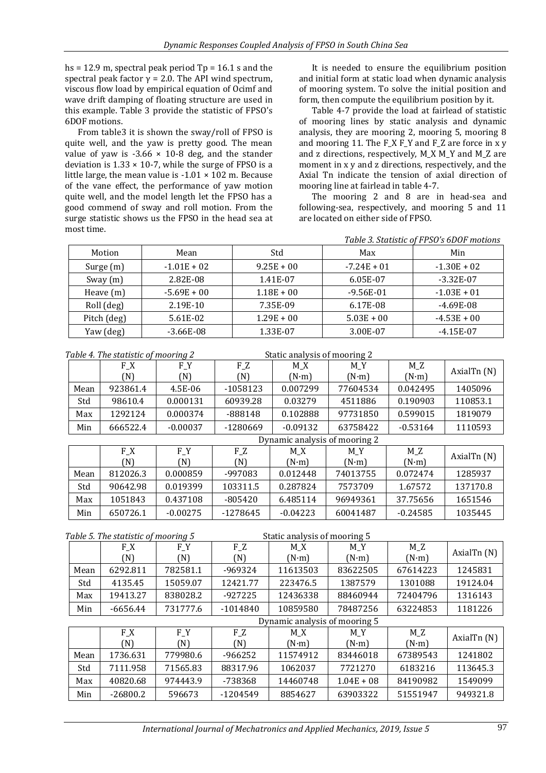hs = 12.9 m, spectral peak period  $Tp = 16.1$  s and the spectral peak factor  $\gamma$  = 2.0. The API wind spectrum, viscous flow load by empirical equation of Ocimf and wave drift damping of floating structure are used in this example. Table 3 provide the statistic of FPSO's 6DOF motions.

From table3 it is shown the sway/roll of FPSO is quite well, and the yaw is pretty good. The mean value of yaw is  $-3.66 \times 10{-8}$  deg, and the stander deviation is  $1.33 \times 10^{-7}$ , while the surge of FPSO is a little large, the mean value is  $-1.01 \times 102$  m. Because of the vane effect, the performance of yaw motion quite well, and the model length let the FPSO has a good commend of sway and roll motion. From the surge statistic shows us the FPSO in the head sea at most time.

It is needed to ensure the equilibrium position and initial form at static load when dynamic analysis of mooring system. To solve the initial position and form, then compute the equilibrium position by it.

Table 4-7 provide the load at fairlead of statistic of mooring lines by static analysis and dynamic analysis, they are mooring 2, mooring 5, mooring 8 and mooring 11. The F\_X F\_Y and F\_Z are force in x y and z directions, respectively, M\_X M\_Y and M\_Z are moment in x y and z directions, respectively, and the Axial Tn indicate the tension of axial direction of mooring line at fairlead in table 4-7.

The mooring 2 and 8 are in head-sea and following-sea, respectively, and mooring 5 and 11 are located on either side of FPSO.

*Table 3. Statistic of FPSO's 6DOF motions*

| Motion      | Mean          | Std          | Max           | Min           |
|-------------|---------------|--------------|---------------|---------------|
| Surge (m)   | $-1.01E + 02$ | $9.25E + 00$ | $-7.24E + 01$ | $-1.30E + 02$ |
| Sway $(m)$  | 2.82E-08      | 1.41E-07     | 6.05E-07      | $-3.32E-07$   |
| Heave $(m)$ | $-5.69E + 00$ | $1.18E + 00$ | $-9.56E-01$   | $-1.03E + 01$ |
| Roll (deg)  | 2.19E-10      | 7.35E-09     | 6.17E-08      | $-4.69E-08$   |
| Pitch (deg) | 5.61E-02      | $1.29E + 00$ | $5.03E + 00$  | $-4.53E + 00$ |
| Yaw (deg)   | $-3.66E-08$   | 1.33E-07     | 3.00E-07      | $-4.15E-07$   |

| Table 4. The statistic of mooring 2 |          |            |            | Static analysis of mooring 2 |               |               |             |
|-------------------------------------|----------|------------|------------|------------------------------|---------------|---------------|-------------|
|                                     | F_X      | $F_Y$      | $F_Z$      | M X                          | $M_Y$         | $M_Z$         |             |
|                                     | (N)      | (N)        | (N)        | $(N \cdot m)$                | $(N \cdot m)$ | $(N \cdot m)$ | AxialTn (N) |
| Mean                                | 923861.4 | 4.5E-06    | $-1058123$ | 0.007299                     | 77604534      | 0.042495      | 1405096     |
| Std                                 | 98610.4  | 0.000131   | 60939.28   | 0.03279                      | 4511886       | 0.190903      | 110853.1    |
| Max                                 | 1292124  | 0.000374   | -888148    | 0.102888                     | 97731850      | 0.599015      | 1819079     |
| Min                                 | 666522.4 | $-0.00037$ | -1280669   | $-0.09132$                   | 63758422      | $-0.53164$    | 1110593     |
| Dynamic analysis of mooring 2       |          |            |            |                              |               |               |             |
|                                     |          |            |            |                              |               |               |             |
|                                     | $F_{X}$  | $F_Y$      | $F_Z$      | M X                          | $M_Y$         | $M_Z$         |             |
|                                     | (N)      | (N)        | (N)        | $(N \cdot m)$                | $(N \cdot m)$ | $(N \cdot m)$ | AxialTn (N) |
| Mean                                | 812026.3 | 0.000859   | -997083    | 0.012448                     | 74013755      | 0.072474      | 1285937     |
| Std                                 | 90642.98 | 0.019399   | 103311.5   | 0.287824                     | 7573709       | 1.67572       | 137170.8    |
| Max                                 | 1051843  | 0.437108   | $-805420$  | 6.485114                     | 96949361      | 37.75656      | 1651546     |

| Table 5. The statistic of mooring 5 |            |          | Static analysis of mooring 5 |                               |               |               |             |
|-------------------------------------|------------|----------|------------------------------|-------------------------------|---------------|---------------|-------------|
|                                     | $F_{X}$    | $F_Y$    | $F_Z$                        | $M_X$                         | $M_Y$         | $M_Z$         | AxialTn (N) |
|                                     | (N)        | (N)      | (N)                          | $(N \cdot m)$                 | $(N \cdot m)$ | $(N \cdot m)$ |             |
| Mean                                | 6292.811   | 782581.1 | -969324                      | 11613503                      | 83622505      | 67614223      | 1245831     |
| Std                                 | 4135.45    | 15059.07 | 12421.77                     | 223476.5                      | 1387579       | 1301088       | 19124.04    |
| Max                                 | 19413.27   | 838028.2 | $-927225$                    | 12436338                      | 88460944      | 72404796      | 1316143     |
| Min                                 | $-6656.44$ | 731777.6 | $-1014840$                   | 10859580                      | 78487256      | 63224853      | 1181226     |
|                                     |            |          |                              | Dynamic analysis of mooring 5 |               |               |             |
|                                     | $F_{X}$    | $F_Y$    | $F_Z$                        | M X                           | $M_Y$         | $M_Z$         | AxialTn (N) |
|                                     | (N)        | (N)      | (N)                          | $(N \cdot m)$                 | $(N \cdot m)$ | $(N \cdot m)$ |             |
| Mean                                | 1736.631   | 779980.6 | $-966252$                    | 11574912                      | 83446018      | 67389543      | 1241802     |
| Std                                 | 7111.958   | 71565.83 | 88317.96                     | 1062037                       | 7721270       | 6183216       | 113645.3    |
| Max                                 | 40820.68   | 974443.9 | -738368                      | 14460748                      | $1.04E + 08$  | 84190982      | 1549099     |
| Min                                 | $-26800.2$ | 596673   | -1204549                     | 8854627                       | 63903322      | 51551947      | 949321.8    |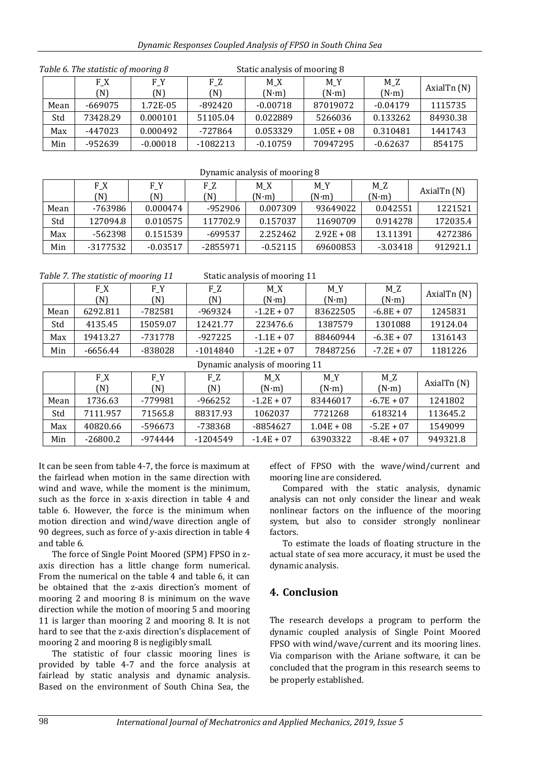#### *Dynamic Responses Coupled Analysis of FPSO in South China Sea*

| Table 6. The statistic of mooring 8 |            |            |            | Static analysis of mooring 8 |                      |             |          |
|-------------------------------------|------------|------------|------------|------------------------------|----------------------|-------------|----------|
|                                     | F X<br>(N) | F Y<br>(N) | F Z<br>(N) | M X<br>$(N \cdot m)$         | M Z<br>$(N \cdot m)$ | AxialTn (N) |          |
| Mean                                | $-669075$  | 1.72E-05   | $-892420$  | $-0.00718$                   | 87019072             | $-0.04179$  | 1115735  |
| Std                                 | 73428.29   | 0.000101   | 51105.04   | 0.022889                     | 5266036              | 0.133262    | 84930.38 |
| Max                                 | $-447023$  | 0.000492   | -727864    | 0.053329                     | $1.05E + 08$         | 0.310481    | 1441743  |
| Min                                 | -952639    | $-0.00018$ | $-1082213$ | $-0.10759$                   | 70947295             | $-0.62637$  | 854175   |

| Dynamic analysis of mooring 8 |                |            |            |                      |                      |                      |               |  |
|-------------------------------|----------------|------------|------------|----------------------|----------------------|----------------------|---------------|--|
|                               | $F_{X}$<br>(N) | F Y<br>N)  | F Z<br>(N) | M X<br>$(N \cdot m)$ | M Y<br>$(N \cdot m)$ | M Z<br>$(N \cdot m)$ | AxialTn $(N)$ |  |
| Mean                          | -763986        | 0.000474   | -952906    | 0.007309             | 93649022             | 0.042551             | 1221521       |  |
| Std                           | 127094.8       | 0.010575   | 117702.9   | 0.157037             | 11690709             | 0.914278             | 172035.4      |  |
| Max                           | -562398        | 0.151539   | -699537    | 2.252462             | $2.92E + 08$         | 13.11391             | 4272386       |  |
| Min                           | -3177532       | $-0.03517$ | -2855971   | $-0.52115$           | 69600853             | $-3.03418$           | 912921.1      |  |

*Table 7. The statistic of mooring 11* Static analysis of mooring 11

|      | F_X      | $F_Y$    | $F_Z$     | $M_X$         | M Y          | $M_Z$         | AxialTn (N) |
|------|----------|----------|-----------|---------------|--------------|---------------|-------------|
|      | (N)      | (N)      | N)        | $(N \cdot m)$ | $(N\cdot m)$ | $(N \cdot m)$ |             |
| Mean | 6292.811 | -782581  | -969324   | $-1.2E + 07$  | 83622505     | $-6.8E + 07$  | 1245831     |
| Std  | 4135.45  | 15059.07 | 12421.77  | 223476.6      | 1387579      | 1301088       | 19124.04    |
| Max  | 19413.27 | -731778  | $-927225$ | $-1.1E + 07$  | 88460944     | $-6.3E + 07$  | 1316143     |
| Min  | -6656.44 | -838028  | -1014840  | $-1.2E + 07$  | 78487256     | $-7.2E + 07$  | 1181226     |

Dynamic analysis of mooring 11

|      | F X<br>N)  | F Y<br>N) | F Z<br>(N) | M X<br>(N·m) | M Y<br>$(N \cdot m)$ | $M_Z$<br>$(N \cdot m)$ | AxialTn (N) |
|------|------------|-----------|------------|--------------|----------------------|------------------------|-------------|
| Mean | 1736.63    | -779981   | $-966252$  | $-1.2E + 07$ | 83446017             | $-6.7E + 07$           | 1241802     |
| Std  | 7111.957   | 71565.8   | 88317.93   | 1062037      | 7721268              | 6183214                | 113645.2    |
| Max  | 40820.66   | -596673   | -738368    | -8854627     | $1.04E + 08$         | $-5.2E + 07$           | 1549099     |
| Min  | $-26800.2$ | -974444   | $-1204549$ | $-1.4E + 07$ | 63903322             | $-8.4E + 07$           | 949321.8    |

It can be seen from table 4-7, the force is maximum at the fairlead when motion in the same direction with wind and wave, while the moment is the minimum, such as the force in x-axis direction in table 4 and table 6. However, the force is the minimum when motion direction and wind/wave direction angle of 90 degrees, such as force of y-axis direction in table 4 and table 6.

The force of Single Point Moored (SPM) FPSO in zaxis direction has a little change form numerical. From the numerical on the table 4 and table 6, it can be obtained that the z-axis direction's moment of mooring 2 and mooring 8 is minimum on the wave direction while the motion of mooring 5 and mooring 11 is larger than mooring 2 and mooring 8. It is not hard to see that the z-axis direction's displacement of mooring 2 and mooring 8 is negligibly small.

The statistic of four classic mooring lines is provided by table 4-7 and the force analysis at fairlead by static analysis and dynamic analysis. Based on the environment of South China Sea, the

effect of FPSO with the wave/wind/current and mooring line are considered.

Compared with the static analysis, dynamic analysis can not only consider the linear and weak nonlinear factors on the influence of the mooring system, but also to consider strongly nonlinear factors.

To estimate the loads of floating structure in the actual state of sea more accuracy, it must be used the dynamic analysis.

# **4. Conclusion**

The research develops a program to perform the dynamic coupled analysis of Single Point Moored FPSO with wind/wave/current and its mooring lines. Via comparison with the Ariane software, it can be concluded that the program in this research seems to be properly established.